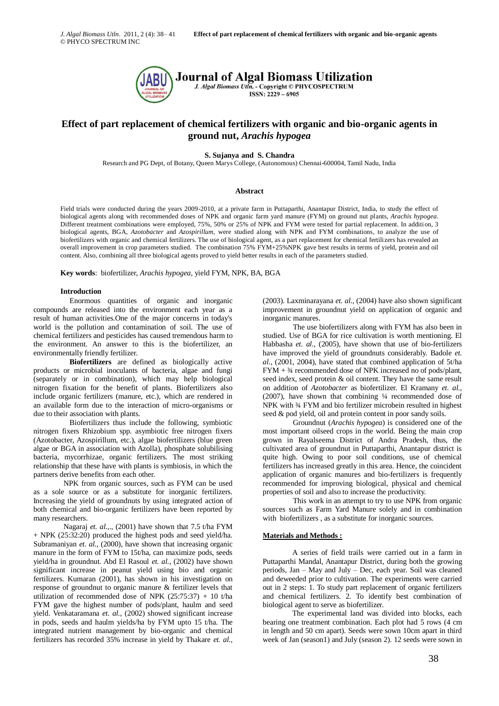© PHYCO SPECTRUM INC



# **Effect of part replacement of chemical fertilizers with organic and bio-organic agents in ground nut,** *Arachis hypogea*

**S. Sujanya and S. Chandra**

Research and PG Dept, of Botany, Queen Marys College, (Autonomous) Chennai-600004, Tamil Nadu, India

## **Abstract**

Field trials were conducted during the years 2009-2010, at a private farm in Puttaparthi, Anantapur District, India, to study the effect of biological agents along with recommended doses of NPK and organic farm yard manure (FYM) on ground nut plants, *Arachis hypogea*. Different treatment combinations were employed, 75%, 50% or 25% of NPK and FYM were tested for partial replacement. In addition, 3 biological agents, BGA, *Azotobacter* and *Azospirillum*, were studied along with NPK and FYM combinations, to analyze the use of biofertilizers with organic and chemical fertilizers. The use of biological agent, as a part replacement for chemical fertilizers has revealed an overall improvement in crop parameters studied. The combination 75% FYM+25%NPK gave best results in terms of yield, protein and oil content. Also, combining all three biological agents proved to yield better results in each of the parameters studied.

**Key words**: biofertilizer, *Arachis hypogea*, yield FYM, NPK, BA, BGA

## **Introduction**

Enormous quantities of organic and inorganic compounds are released into the environment each year as a result of human activities.One of the major concerns in today's world is the pollution and contamination of soil. The use of chemical fertilizers and pesticides has caused tremendous harm to the environment. An answer to this is the biofertilizer, an environmentally friendly fertilizer.

**Biofertilizers** are defined as biologically active products or microbial inoculants of bacteria, algae and fungi (separately or in combination), which may help biological nitrogen fixation for the benefit of plants. Biofertilizers also include organic fertilizers (manure, etc.), which are rendered in an available form due to the interaction of micro-organisms or due to their association with plants.

Biofertilizers thus include the following, symbiotic nitrogen fixers Rhizobium spp. asymbiotic free nitrogen fixers (Azotobacter, Azospirillum, etc.), algae biofertilizers (blue green algae or BGA in association with Azolla), phosphate solubilising bacteria, mycorrhizae, organic fertilizers. The most striking relationship that these have with plants is symbiosis, in which the partners derive benefits from each other.

NPK from organic sources, such as FYM can be used as a sole source or as a substitute for inorganic fertilizers. Increasing the yield of groundnuts by using integrated action of both chemical and bio-organic fertilizers have been reported by many researchers.

Nagaraj *et. al.,*., (2001) have shown that 7.5 t/ha FYM + NPK (25:32:20) produced the highest pods and seed yield/ha. Subramaniyan *et. al.*, (2000), have shown that increasing organic manure in the form of FYM to 15t/ha, can maximize pods, seeds yield/ha in groundnut. Abd El Rasoul *et. al.,* (2002) have shown significant increase in peanut yield using bio and organic fertilizers. Kumaran (2001), has shown in his investigation on response of groundnut to organic manure & fertilizer levels that utilization of recommended dose of NPK  $(25:75:37) + 10$  t/ha FYM gave the highest number of pods/plant, haulm and seed yield. Venkataramana *et. al.,* (2002) showed significant increase in pods, seeds and haulm yields/ha by FYM upto 15 t/ha. The integrated nutrient management by bio-organic and chemical fertilizers has recorded 35% increase in yield by Thakare *et. al.,*

(2003). Laxminarayana *et. al.,* (2004) have also shown significant improvement in groundnut yield on application of organic and inorganic manures.

The use biofertilizers along with FYM has also been in studied. Use of BGA for rice cultivation is worth mentioning. El Habbasha *et. al.,* (2005), have shown that use of bio-fertilizers have improved the yield of groundnuts considerably. Badole *et. al.,* (2001, 2004), have stated that combined application of 5t/ha FYM + ¾ recommended dose of NPK increased no of pods/plant, seed index, seed protein & oil content. They have the same result on addition of *Azotobacter* as biofertilizer. El Kramany *et. al.,* (2007), have shown that combining ¼ recommended dose of NPK with ¾ FYM and bio fertilizer microbein resulted in highest seed & pod yield, oil and protein content in poor sandy soils.

Groundnut (*Arachis hypogea*) is considered one of the most important oilseed crops in the world. Being the main crop grown in Rayalseema District of Andra Pradesh, thus, the cultivated area of groundnut in Puttaparthi, Anantapur district is quite high. Owing to poor soil conditions, use of chemical fertilizers has increased greatly in this area. Hence, the coincident application of organic manures and bio-fertilizers is frequently recommended for improving biological, physical and chemical properties of soil and also to increase the productivity.

This work in an attempt to try to use NPK from organic sources such as Farm Yard Manure solely and in combination with biofertilizers , as a substitute for inorganic sources.

#### **Materials and Methods :**

A series of field trails were carried out in a farm in Puttaparthi Mandal, Anantapur District, during both the growing periods, Jan – May and July – Dec, each year. Soil was cleaned and deweeded prior to cultivation. The experiments were carried out in 2 steps: 1. To study part replacement of organic fertilizers and chemical fertilizers. 2. To identify best combination of biological agent to serve as biofertilizer.

The experimental land was divided into blocks, each bearing one treatment combination. Each plot had 5 rows (4 cm in length and 50 cm apart). Seeds were sown 10cm apart in third week of Jan (season1) and July (season 2). 12 seeds were sown in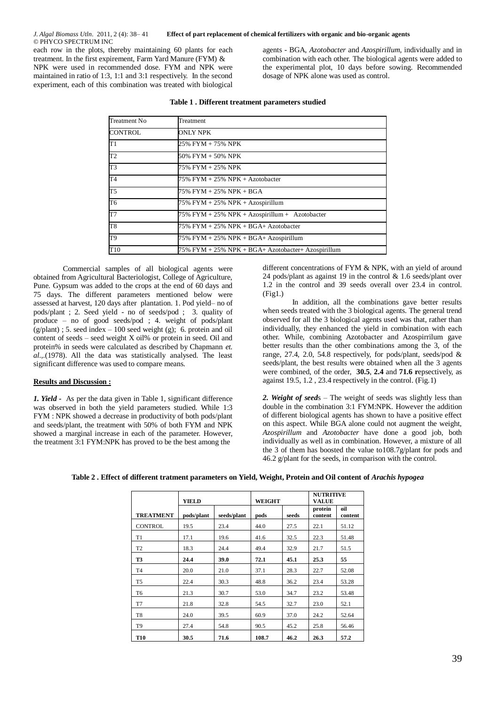*J. Algal Biomass Utln*. 2011, 2 (4): 38– 41 **Effect of part replacement of chemical fertilizers with organic and bio-organic agents** © PHYCO SPECTRUM INC

each row in the plots, thereby maintaining 60 plants for each treatment. In the first expirement, Farm Yard Manure (FYM) & NPK were used in recommended dose. FYM and NPK were maintained in ratio of 1:3, 1:1 and 3:1 respectively. In the second experiment, each of this combination was treated with biological

agents - BGA, *Azotobacter* and *Azospirillum,* individually and in combination with each other. The biological agents were added to the experimental plot, 10 days before sowing. Recommended dosage of NPK alone was used as control.

| Treatment No   | Treatment                                          |  |  |  |  |
|----------------|----------------------------------------------------|--|--|--|--|
| CONTROL        | ONLY NPK                                           |  |  |  |  |
| T1             | 25% FYM + 75% NPK                                  |  |  |  |  |
| T <sub>2</sub> | 50% FYM + 50% NPK                                  |  |  |  |  |
| T3             | 75% FYM + 25% NPK                                  |  |  |  |  |
| T <sub>4</sub> | 75% FYM + 25% NPK + Azotobacter                    |  |  |  |  |
| T5             | 75% FYM + 25% NPK + BGA                            |  |  |  |  |
| T6             | $75\%$ FYM + 25% NPK + Azospirillum                |  |  |  |  |
| T7             | 75% FYM + 25% NPK + Azospirillum + Azotobacter     |  |  |  |  |
| T8             | $75\%$ FYM + 25% NPK + BGA+ Azotobacter            |  |  |  |  |
| T9             | $75\%$ FYM + 25% NPK + BGA+ Azospirillum           |  |  |  |  |
| T10            | 75% FYM + 25% NPK + BGA+ Azotobacter+ Azospirillum |  |  |  |  |

#### **Table 1 . Different treatment parameters studied**

Commercial samples of all biological agents were obtained from Agricultural Bacteriologist, College of Agriculture, Pune. Gypsum was added to the crops at the end of 60 days and 75 days. The different parameters mentioned below were assessed at harvest, 120 days after plantation. 1. Pod yield– no of pods/plant ; 2. Seed yield - no of seeds/pod ; 3. quality of produce – no of good seeds/pod ; 4. weight of pods/plant  $(g/\text{plant})$ ; 5. seed index – 100 seed weight (g); 6. protein and oil content of seeds – seed weight X oil% or protein in seed. Oil and protein% in seeds were calculated as described by Chapmann *et. al.,*.(1978). All the data was statistically analysed. The least significant difference was used to compare means.

## **Results and Discussion :**

*1. Yield -* As per the data given in Table 1, significant difference was observed in both the yield parameters studied. While 1:3 FYM : NPK showed a decrease in productivity of both pods/plant and seeds/plant, the treatment with 50% of both FYM and NPK showed a marginal increase in each of the parameter. However, the treatment 3:1 FYM:NPK has proved to be the best among the

different concentrations of FYM & NPK, with an yield of around 24 pods/plant as against 19 in the control & 1.6 seeds/plant over 1.2 in the control and 39 seeds overall over 23.4 in control. (Fig1.)

In addition, all the combinations gave better results when seeds treated with the 3 biological agents. The general trend observed for all the 3 biological agents used was that, rather than individually, they enhanced the yield in combination with each other. While, combining Azotobacter and Azospirrilum gave better results than the other combinations among the 3, of the range, 27.4, 2.0, 54.8 respectively, for pods/plant, seeds/pod & seeds/plant, the best results were obtained when all the 3 agents were combined, of the order, **30.5**, **2.4** and **71.6 r**epsectively, as against 19.5, 1.2 , 23.4 respectively in the control. (Fig.1)

*2. Weight of seed*s – The weight of seeds was slightly less than double in the combination 3:1 FYM:NPK. However the addition of different biological agents has shown to have a positive effect on this aspect. While BGA alone could not augment the weight, *Azospirillum* and *Azotobacter* have done a good job, both individually as well as in combination. However, a mixture of all the 3 of them has boosted the value to108.7g/plant for pods and 46.2 g/plant for the seeds, in comparison with the control.

|                  | <b>YIELD</b> |             | <b>WEIGHT</b> |       | <b>NUTRITIVE</b><br><b>VALUE</b> |                |
|------------------|--------------|-------------|---------------|-------|----------------------------------|----------------|
| <b>TREATMENT</b> | pods/plant   | seeds/plant | pods          | seeds | protein<br>content               | oil<br>content |
| <b>CONTROL</b>   | 19.5         | 23.4        | 44.0          | 27.5  | 22.1                             | 51.12          |
| T1               | 17.1         | 19.6        | 41.6          | 32.5  | 22.3                             | 51.48          |
| T <sub>2</sub>   | 18.3         | 24.4        | 49.4          | 32.9  | 21.7                             | 51.5           |
| <b>T3</b>        | 24.4         | 39.0        | 72.1          | 45.1  | 25.3                             | 55             |
| T <sub>4</sub>   | 20.0         | 21.0        | 37.1          | 28.3  | 22.7                             | 52.08          |
| T <sub>5</sub>   | 22.4         | 30.3        | 48.8          | 36.2  | 23.4                             | 53.28          |
| T <sub>6</sub>   | 21.3         | 30.7        | 53.0          | 34.7  | 23.2                             | 53.48          |
| T7               | 21.8         | 32.8        | 54.5          | 32.7  | 23.0                             | 52.1           |
| T <sub>8</sub>   | 24.0         | 39.5        | 60.9          | 37.0  | 24.2                             | 52.64          |
| T <sub>9</sub>   | 27.4         | 54.8        | 90.5          | 45.2  | 25.8                             | 56.46          |
| <b>T10</b>       | 30.5         | 71.6        | 108.7         | 46.2  | 26.3                             | 57.2           |

**Table 2 . Effect of different tratment parameters on Yield, Weight, Protein and Oil content of** *Arachis hypogea*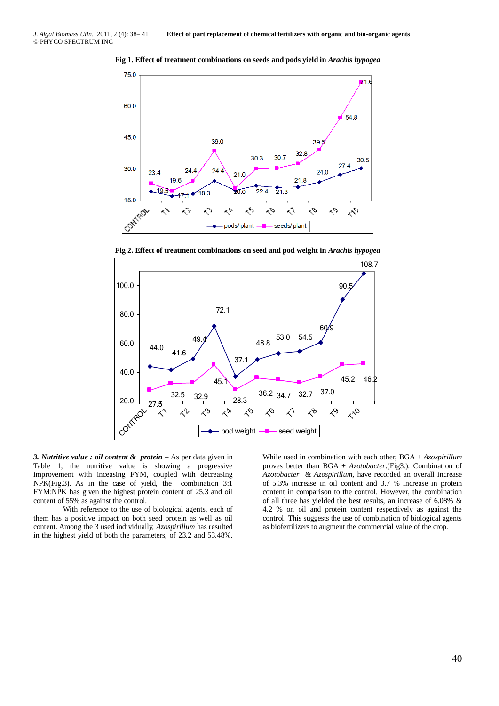

**Fig 1. Effect of treatment combinations on seeds and pods yield in** *Arachis hypogea*





*3. Nutritive value : oil content & protein –* As per data given in Table 1, the nutritive value is showing a progressive improvement with inceasing FYM, coupled with decreasing NPK(Fig.3). As in the case of yield, the combination 3:1 FYM:NPK has given the highest protein content of 25.3 and oil content of 55% as against the control.

With reference to the use of biological agents, each of them has a positive impact on both seed protein as well as oil content. Among the 3 used individually, *Azospirillum* has resulted in the highest yield of both the parameters, of 23.2 and 53.48%.

While used in combination with each other, BGA + *Azospirillum* proves better than BGA + *Azotobacter*.(Fig3.). Combination of *Azotobacter* & *Azospirillum*, have recorded an overall increase of 5.3% increase in oil content and 3.7 % increase in protein content in comparison to the control. However, the combination of all three has yielded the best results, an increase of 6.08% & 4.2 % on oil and protein content respectively as against the control. This suggests the use of combination of biological agents as biofertilizers to augment the commercial value of the crop.